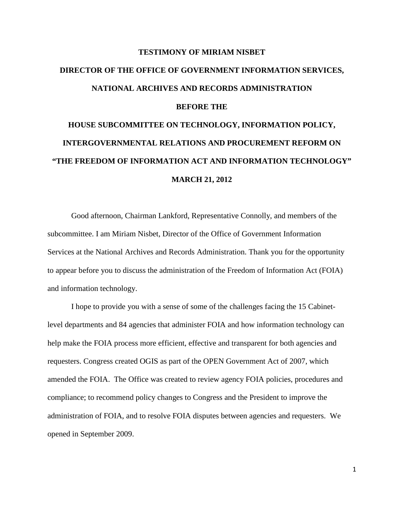## **TESTIMONY OF MIRIAM NISBET DIRECTOR OF THE OFFICE OF GOVERNMENT INFORMATION SERVICES, NATIONAL ARCHIVES AND RECORDS ADMINISTRATION BEFORE THE HOUSE SUBCOMMITTEE ON TECHNOLOGY, INFORMATION POLICY, INTERGOVERNMENTAL RELATIONS AND PROCUREMENT REFORM ON "THE FREEDOM OF INFORMATION ACT AND INFORMATION TECHNOLOGY"**

## **MARCH 21, 2012**

Good afternoon, Chairman Lankford, Representative Connolly, and members of the subcommittee. I am Miriam Nisbet, Director of the Office of Government Information Services at the National Archives and Records Administration. Thank you for the opportunity to appear before you to discuss the administration of the Freedom of Information Act (FOIA) and information technology.

I hope to provide you with a sense of some of the challenges facing the 15 Cabinetlevel departments and 84 agencies that administer FOIA and how information technology can help make the FOIA process more efficient, effective and transparent for both agencies and requesters. Congress created OGIS as part of the OPEN Government Act of 2007, which amended the FOIA. The Office was created to review agency FOIA policies, procedures and compliance; to recommend policy changes to Congress and the President to improve the administration of FOIA, and to resolve FOIA disputes between agencies and requesters. We opened in September 2009.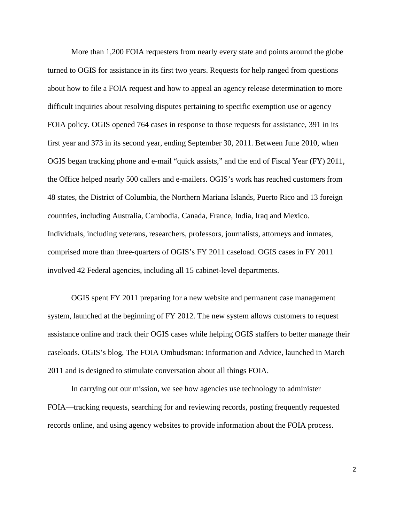More than 1,200 FOIA requesters from nearly every state and points around the globe turned to OGIS for assistance in its first two years. Requests for help ranged from questions about how to file a FOIA request and how to appeal an agency release determination to more difficult inquiries about resolving disputes pertaining to specific exemption use or agency FOIA policy. OGIS opened 764 cases in response to those requests for assistance, 391 in its first year and 373 in its second year, ending September 30, 2011. Between June 2010, when OGIS began tracking phone and e-mail "quick assists," and the end of Fiscal Year (FY) 2011, the Office helped nearly 500 callers and e-mailers. OGIS's work has reached customers from 48 states, the District of Columbia, the Northern Mariana Islands, Puerto Rico and 13 foreign countries, including Australia, Cambodia, Canada, France, India, Iraq and Mexico. Individuals, including veterans, researchers, professors, journalists, attorneys and inmates, comprised more than three-quarters of OGIS's FY 2011 caseload. OGIS cases in FY 2011 involved 42 Federal agencies, including all 15 cabinet-level departments.

OGIS spent FY 2011 preparing for a new website and permanent case management system, launched at the beginning of FY 2012. The new system allows customers to request assistance online and track their OGIS cases while helping OGIS staffers to better manage their caseloads. OGIS's blog, The FOIA Ombudsman: Information and Advice, launched in March 2011 and is designed to stimulate conversation about all things FOIA.

In carrying out our mission, we see how agencies use technology to administer FOIA—tracking requests, searching for and reviewing records, posting frequently requested records online, and using agency websites to provide information about the FOIA process.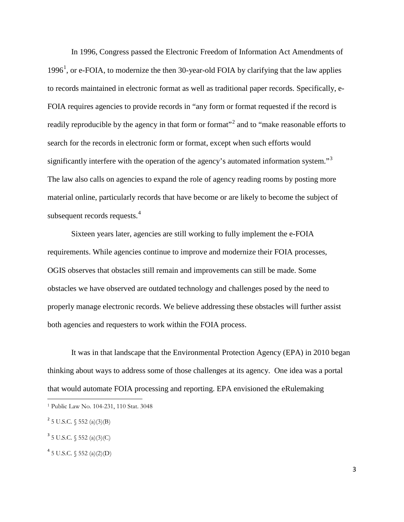In 1996, Congress passed the Electronic Freedom of Information Act Amendments of [1](#page-2-0)996<sup>1</sup>, or e-FOIA, to modernize the then 30-year-old FOIA by clarifying that the law applies to records maintained in electronic format as well as traditional paper records. Specifically, e-FOIA requires agencies to provide records in "any form or format requested if the record is readily reproducible by the agency in that form or format"<sup>[2](#page-2-1)</sup> and to "make reasonable efforts to search for the records in electronic form or format, except when such efforts would significantly interfere with the operation of the agency's automated information system."<sup>[3](#page-2-2)</sup> The law also calls on agencies to expand the role of agency reading rooms by posting more material online, particularly records that have become or are likely to become the subject of subsequent records requests.<sup>[4](#page-2-3)</sup>

Sixteen years later, agencies are still working to fully implement the e-FOIA requirements. While agencies continue to improve and modernize their FOIA processes, OGIS observes that obstacles still remain and improvements can still be made. Some obstacles we have observed are outdated technology and challenges posed by the need to properly manage electronic records. We believe addressing these obstacles will further assist both agencies and requesters to work within the FOIA process.

It was in that landscape that the Environmental Protection Agency (EPA) in 2010 began thinking about ways to address some of those challenges at its agency. One idea was a portal that would automate FOIA processing and reporting. EPA envisioned the eRulemaking

 $\overline{\phantom{a}}$ 

<span id="page-2-3"></span> $4$  5 U.S.C.  $\sqrt{552}$  (a)(2)(D)

<span id="page-2-0"></span><sup>1</sup> Public Law No. 104-231, 110 Stat. 3048

<span id="page-2-1"></span> $^{2}$  5 U.S.C. § 552 (a)(3)(B)

<span id="page-2-2"></span> $3$  5 U.S.C. § 552 (a)(3)(C)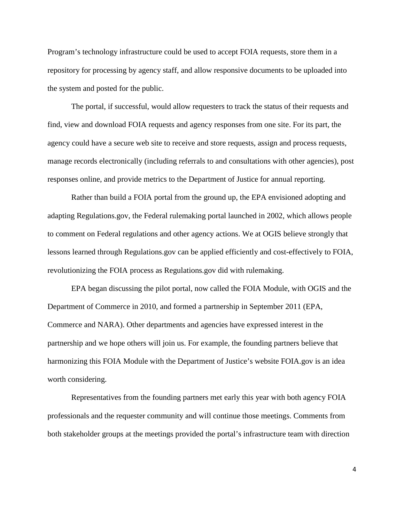Program's technology infrastructure could be used to accept FOIA requests, store them in a repository for processing by agency staff, and allow responsive documents to be uploaded into the system and posted for the public.

The portal, if successful, would allow requesters to track the status of their requests and find, view and download FOIA requests and agency responses from one site. For its part, the agency could have a secure web site to receive and store requests, assign and process requests, manage records electronically (including referrals to and consultations with other agencies), post responses online, and provide metrics to the Department of Justice for annual reporting.

Rather than build a FOIA portal from the ground up, the EPA envisioned adopting and adapting Regulations.gov, the Federal rulemaking portal launched in 2002, which allows people to comment on Federal regulations and other agency actions. We at OGIS believe strongly that lessons learned through Regulations.gov can be applied efficiently and cost-effectively to FOIA, revolutionizing the FOIA process as Regulations.gov did with rulemaking.

EPA began discussing the pilot portal, now called the FOIA Module, with OGIS and the Department of Commerce in 2010, and formed a partnership in September 2011 (EPA, Commerce and NARA). Other departments and agencies have expressed interest in the partnership and we hope others will join us. For example, the founding partners believe that harmonizing this FOIA Module with the Department of Justice's website FOIA.gov is an idea worth considering.

Representatives from the founding partners met early this year with both agency FOIA professionals and the requester community and will continue those meetings. Comments from both stakeholder groups at the meetings provided the portal's infrastructure team with direction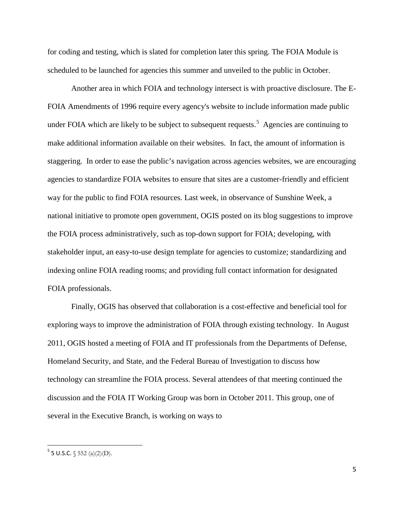for coding and testing, which is slated for completion later this spring. The FOIA Module is scheduled to be launched for agencies this summer and unveiled to the public in October.

Another area in which FOIA and technology intersect is with proactive disclosure. The E-FOIA Amendments of 1996 require every agency's website to include information made public under FOIA which are likely to be subject to subsequent requests.<sup>[5](#page-4-0)</sup> Agencies are continuing to make additional information available on their websites. In fact, the amount of information is staggering. In order to ease the public's navigation across agencies websites, we are encouraging agencies to standardize FOIA websites to ensure that sites are a customer-friendly and efficient way for the public to find FOIA resources. Last week, in observance of Sunshine Week, a national initiative to promote open government, OGIS posted on its blog suggestions to improve the FOIA process administratively, such as top-down support for FOIA; developing, with stakeholder input, an easy-to-use design template for agencies to customize; standardizing and indexing online FOIA reading rooms; and providing full contact information for designated FOIA professionals.

Finally, OGIS has observed that collaboration is a cost-effective and beneficial tool for exploring ways to improve the administration of FOIA through existing technology. In August 2011, OGIS hosted a meeting of FOIA and IT professionals from the Departments of Defense, Homeland Security, and State, and the Federal Bureau of Investigation to discuss how technology can streamline the FOIA process. Several attendees of that meeting continued the discussion and the FOIA IT Working Group was born in October 2011. This group, one of several in the Executive Branch, is working on ways to

<span id="page-4-0"></span> $5$  5 U.S.C.  $\sqrt{552}$  (a)(2)(D).